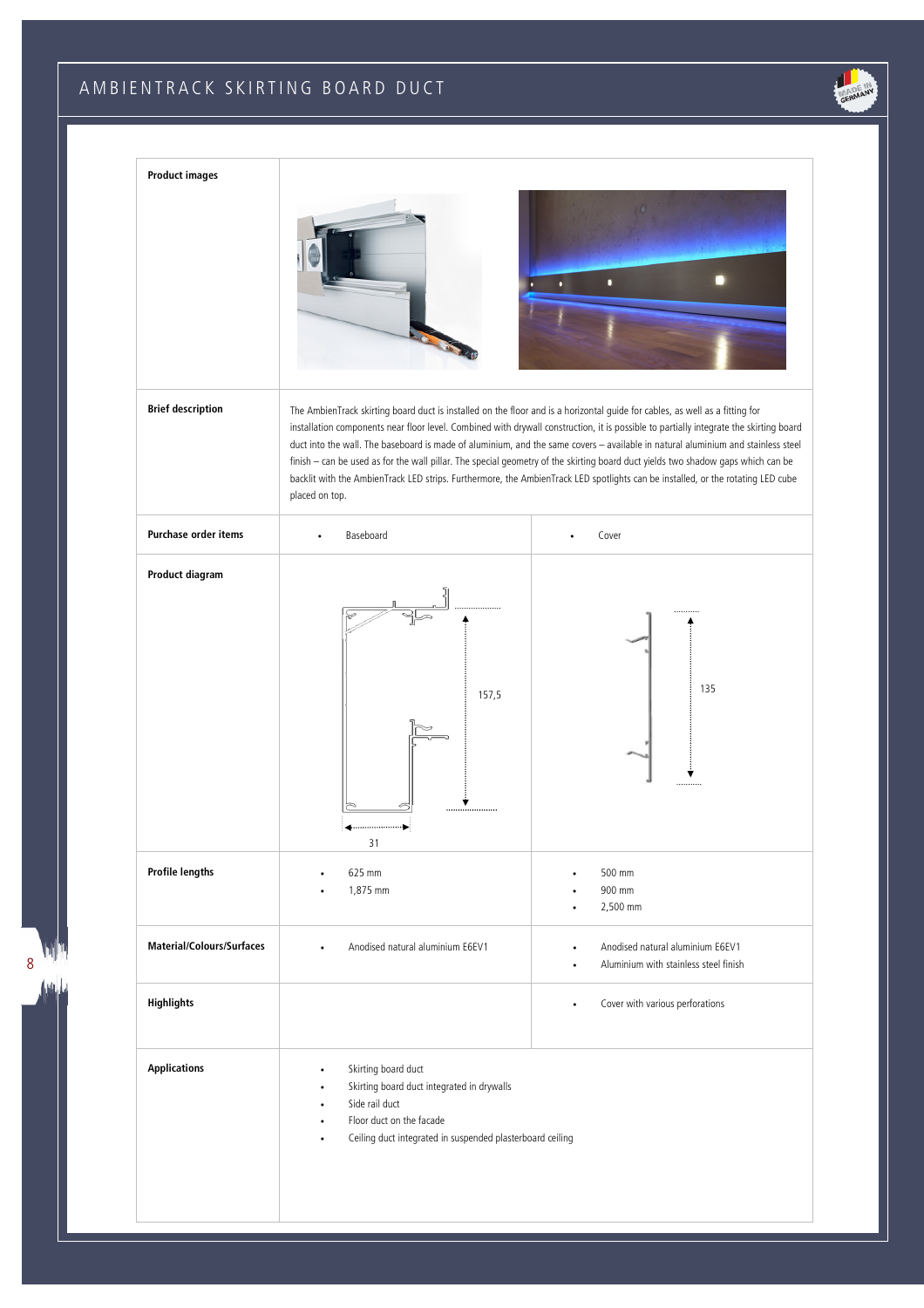# A M B I E N T R A C K S K I R T I N G BOARD DUCT

8 milli 仙山



| <b>Product images</b>            |                                                                                                                                                                                                                                               | п                                                                                                                                                                                                                                                                                                                                                                                                                                                                                                                                                 |
|----------------------------------|-----------------------------------------------------------------------------------------------------------------------------------------------------------------------------------------------------------------------------------------------|---------------------------------------------------------------------------------------------------------------------------------------------------------------------------------------------------------------------------------------------------------------------------------------------------------------------------------------------------------------------------------------------------------------------------------------------------------------------------------------------------------------------------------------------------|
| <b>Brief description</b>         | The AmbienTrack skirting board duct is installed on the floor and is a horizontal guide for cables, as well as a fitting for<br>placed on top.                                                                                                | installation components near floor level. Combined with drywall construction, it is possible to partially integrate the skirting board<br>duct into the wall. The baseboard is made of aluminium, and the same covers - available in natural aluminium and stainless steel<br>finish - can be used as for the wall pillar. The special geometry of the skirting board duct yields two shadow gaps which can be<br>backlit with the AmbienTrack LED strips. Furthermore, the AmbienTrack LED spotlights can be installed, or the rotating LED cube |
| Purchase order items             | Baseboard                                                                                                                                                                                                                                     | Cover                                                                                                                                                                                                                                                                                                                                                                                                                                                                                                                                             |
| Product diagram                  | 157,5<br>31                                                                                                                                                                                                                                   | 135<br>Ý                                                                                                                                                                                                                                                                                                                                                                                                                                                                                                                                          |
| <b>Profile lengths</b>           | 625 mm<br>1,875 mm                                                                                                                                                                                                                            | 500 mm<br>900 mm<br>2,500 mm                                                                                                                                                                                                                                                                                                                                                                                                                                                                                                                      |
| <b>Material/Colours/Surfaces</b> | Anodised natural aluminium E6EV1<br>$\bullet$                                                                                                                                                                                                 | Anodised natural aluminium E6EV1<br>$\bullet$<br>Aluminium with stainless steel finish                                                                                                                                                                                                                                                                                                                                                                                                                                                            |
| Highlights                       |                                                                                                                                                                                                                                               | Cover with various perforations<br>$\bullet$                                                                                                                                                                                                                                                                                                                                                                                                                                                                                                      |
| <b>Applications</b>              | Skirting board duct<br>$\bullet$<br>Skirting board duct integrated in drywalls<br>$\bullet$<br>Side rail duct<br>$\bullet$<br>Floor duct on the facade<br>$\bullet$<br>Ceiling duct integrated in suspended plasterboard ceiling<br>$\bullet$ |                                                                                                                                                                                                                                                                                                                                                                                                                                                                                                                                                   |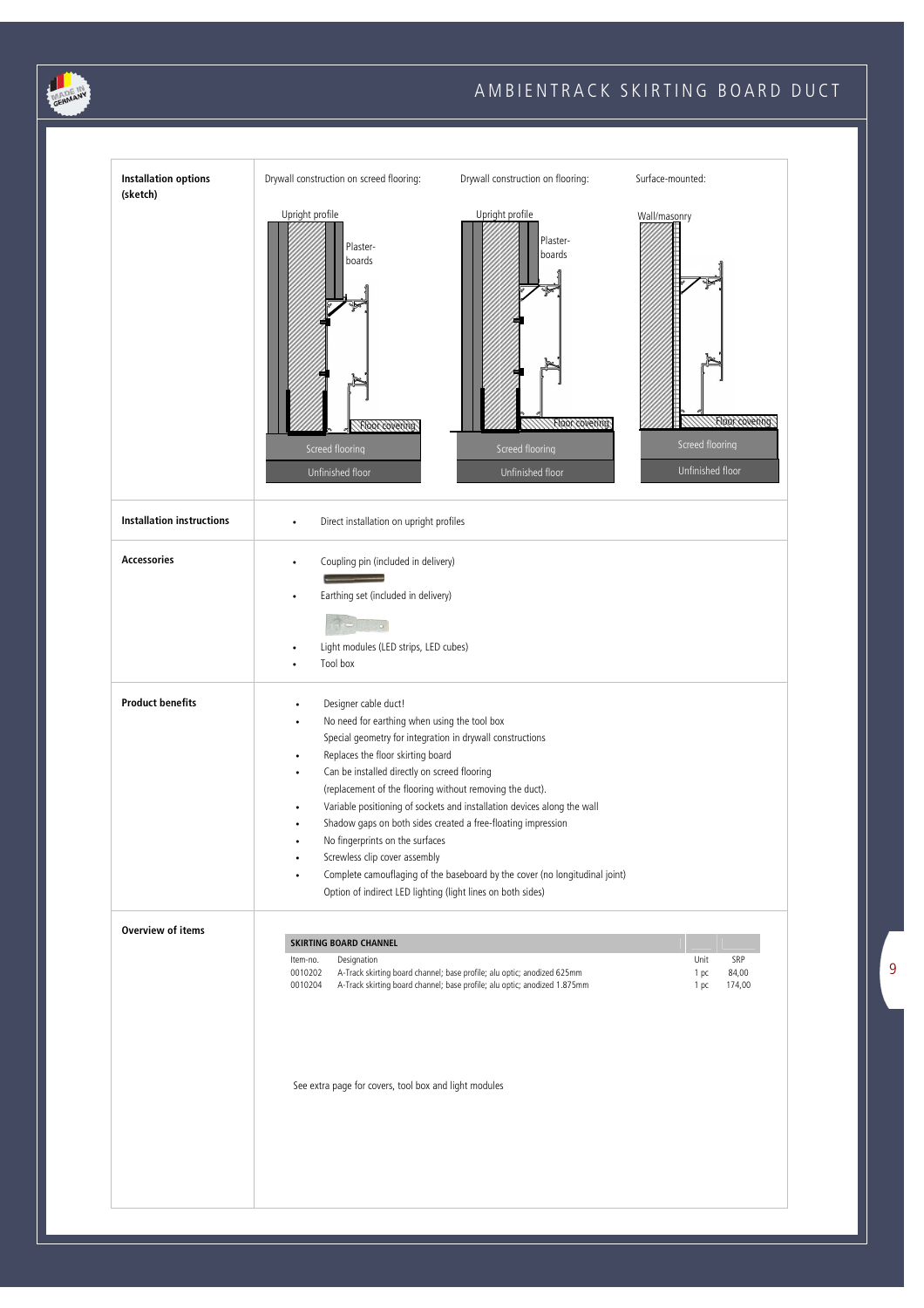

֦

### A M B I E N T R A C K S K I R T I N G BOARD DUCT

| <b>Installation options</b><br>(sketch) | Drywall construction on screed flooring:                                                                                                                                                                                                                                                                                                                                                                                   | Drywall construction on flooring:                                                                                                                                                                                      | Surface-mounted:                                                      |
|-----------------------------------------|----------------------------------------------------------------------------------------------------------------------------------------------------------------------------------------------------------------------------------------------------------------------------------------------------------------------------------------------------------------------------------------------------------------------------|------------------------------------------------------------------------------------------------------------------------------------------------------------------------------------------------------------------------|-----------------------------------------------------------------------|
|                                         | Upright profile<br>Plaster-<br>boards<br>Floor covering<br>Screed flooring<br>Unfinished floor                                                                                                                                                                                                                                                                                                                             | Upright profile<br>Plaster-<br>boards<br>Floor covering<br>Screed flooring<br>Unfinished floor                                                                                                                         | Wall/masonry<br>Floor covering<br>Screed flooring<br>Unfinished floor |
| <b>Installation instructions</b>        | Direct installation on upright profiles<br>$\bullet$                                                                                                                                                                                                                                                                                                                                                                       |                                                                                                                                                                                                                        |                                                                       |
| <b>Accessories</b>                      | Coupling pin (included in delivery)<br>$\bullet$<br>Earthing set (included in delivery)<br>Light modules (LED strips, LED cubes)<br>Tool box                                                                                                                                                                                                                                                                               |                                                                                                                                                                                                                        |                                                                       |
| <b>Product benefits</b>                 | Designer cable duct!<br>No need for earthing when using the tool box<br>Special geometry for integration in drywall constructions<br>Replaces the floor skirting board<br>٠<br>Can be installed directly on screed flooring<br>(replacement of the flooring without removing the duct).<br>No fingerprints on the surfaces<br>Screwless clip cover assembly<br>Option of indirect LED lighting (light lines on both sides) | Variable positioning of sockets and installation devices along the wall<br>Shadow gaps on both sides created a free-floating impression<br>Complete camouflaging of the baseboard by the cover (no longitudinal joint) |                                                                       |
| <b>Overview of items</b>                | <b>SKIRTING BOARD CHANNEL</b><br>Designation<br>Item-no.<br>0010202<br>0010204<br>See extra page for covers, tool box and light modules                                                                                                                                                                                                                                                                                    | A-Track skirting board channel; base profile; alu optic; anodized 625mm<br>A-Track skirting board channel; base profile; alu optic; anodized 1.875mm                                                                   | Unit<br>SRP<br>84,00<br>1 pc<br>174,00<br>1 pc                        |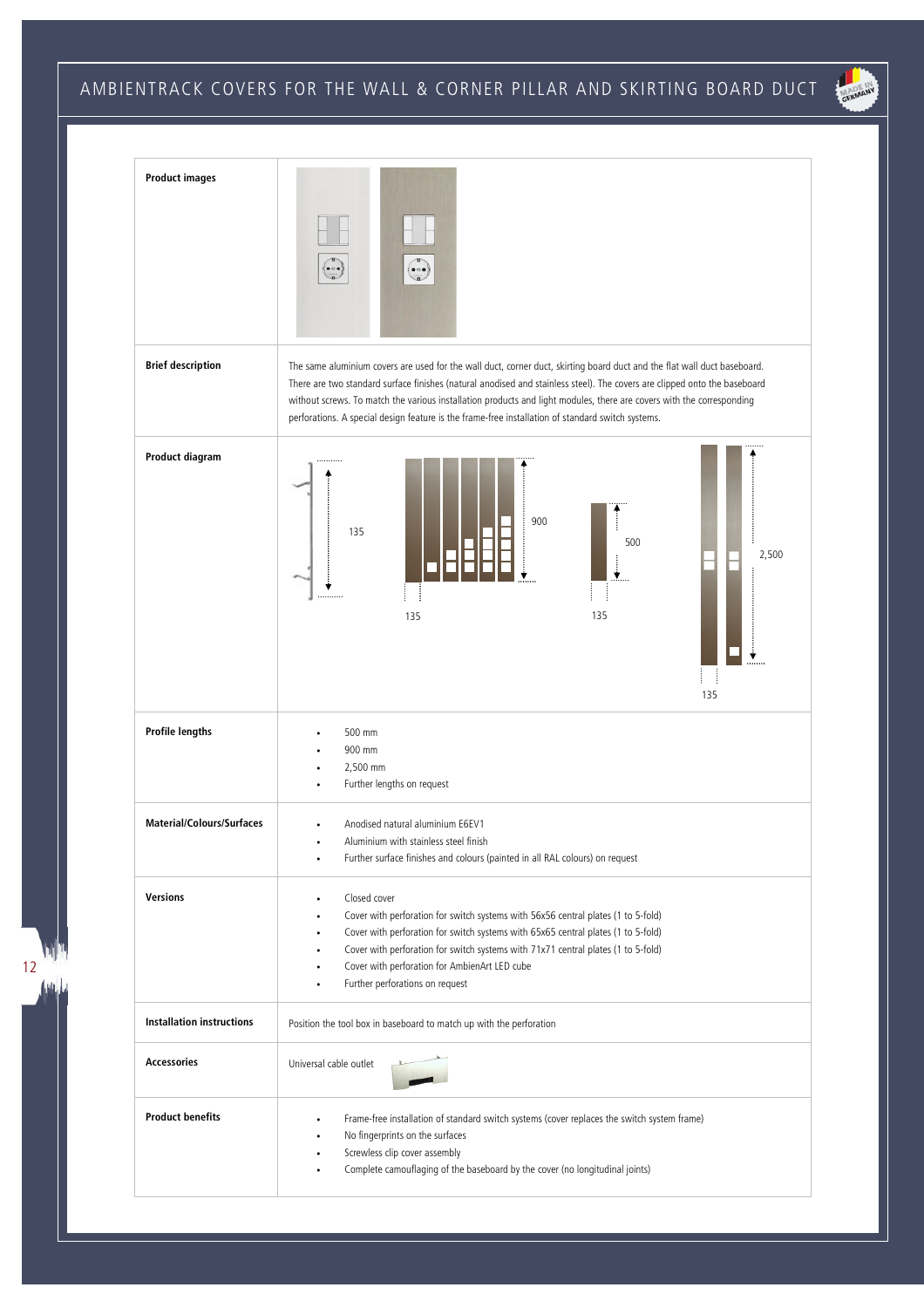### AMBIENTRACK COVERS FOR THE WALL & CORNER PILLAR AND SKIRTING BOARD DUCT





12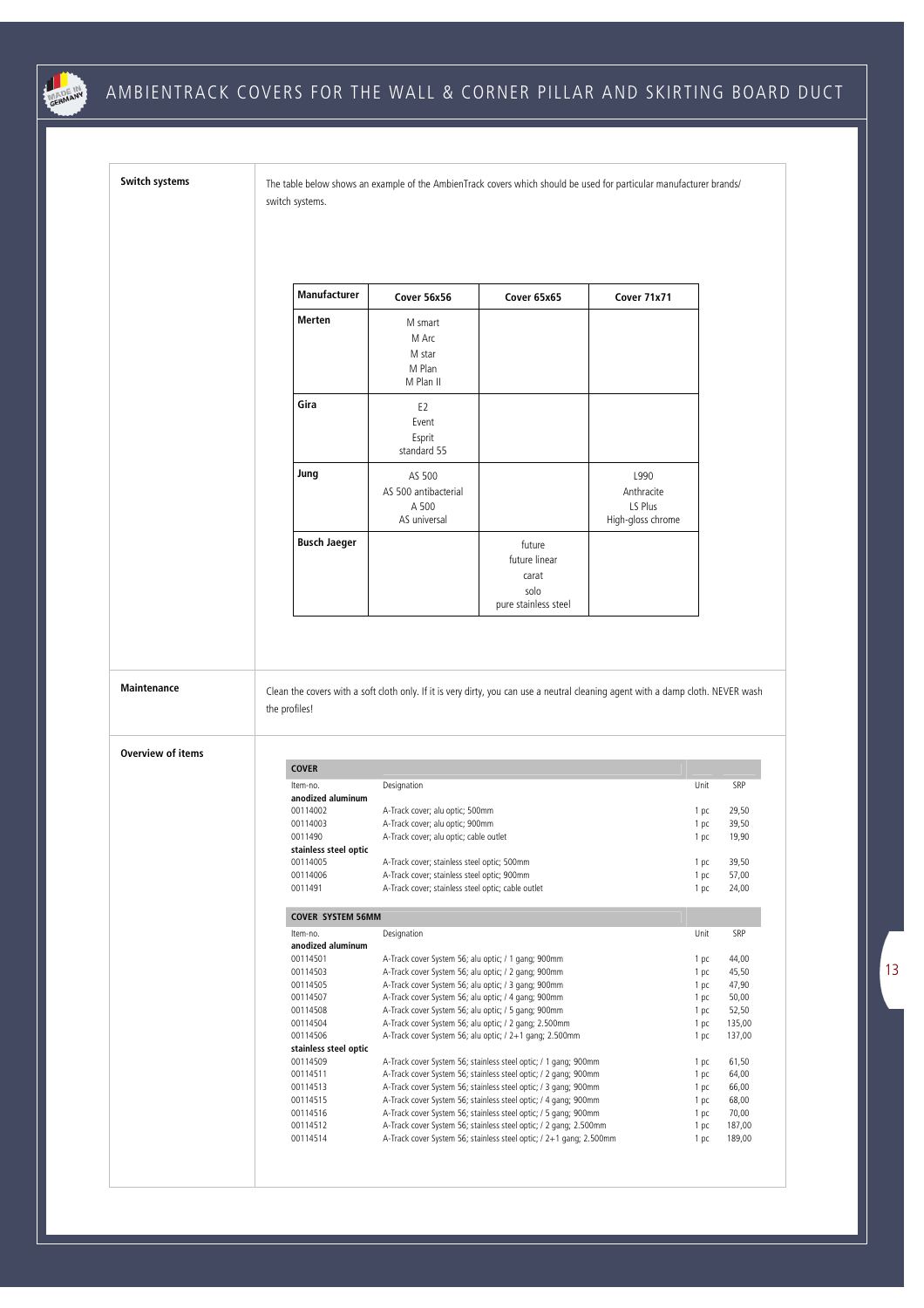

֦

## AMBIENTRACK COVERS FOR THE WALL & CORNER PILLAR AND SKIRTING BOARD DUCT

**Switch systems** The table below shows an example of the AmbienTrack covers which should be used for particular manufacturer brands/ switch systems.

| <b>Manufacturer</b> | Cover 56x56                                             | Cover 65x65                                                      | Cover 71x71                                        |
|---------------------|---------------------------------------------------------|------------------------------------------------------------------|----------------------------------------------------|
| Merten              | M smart<br>M Arc<br>M star<br>M Plan<br>M Plan II       |                                                                  |                                                    |
| Gira                | E <sub>2</sub><br>Event<br>Esprit<br>standard 55        |                                                                  |                                                    |
| Jung                | AS 500<br>AS 500 antibacterial<br>A 500<br>AS universal |                                                                  | L990<br>Anthracite<br>LS Plus<br>High-gloss chrome |
| <b>Busch Jaeger</b> |                                                         | future<br>future linear<br>carat<br>solo<br>pure stainless steel |                                                    |

**Maintenance** Clean the covers with a soft cloth only. If it is very dirty, you can use a neutral cleaning agent with a damp cloth. NEVER wash the profiles!

### **Overview of items**

| <b>COVER</b>             |                                                                     |      |        |
|--------------------------|---------------------------------------------------------------------|------|--------|
| Item-no.                 | Designation                                                         | Unit | SRP    |
| anodized aluminum        |                                                                     |      |        |
| 00114002                 | A-Track cover; alu optic; 500mm                                     | 1 pc | 29,50  |
| 00114003                 | A-Track cover; alu optic; 900mm                                     | 1 pc | 39,50  |
| 0011490                  | A-Track cover; alu optic; cable outlet                              | 1 pc | 19,90  |
| stainless steel optic    |                                                                     |      |        |
| 00114005                 | A-Track cover; stainless steel optic; 500mm                         | 1 pc | 39,50  |
| 00114006                 | A-Track cover; stainless steel optic; 900mm                         | 1 pc | 57,00  |
| 0011491                  | A-Track cover; stainless steel optic; cable outlet                  | 1 pc | 24,00  |
|                          |                                                                     |      |        |
| <b>COVER SYSTEM 56MM</b> |                                                                     |      |        |
| Item-no.                 | Designation                                                         | Unit | SRP    |
| anodized aluminum        |                                                                     |      |        |
| 00114501                 | A-Track cover System 56; alu optic; / 1 gang; 900mm                 | 1 pc | 44.00  |
| 00114503                 | A-Track cover System 56; alu optic; / 2 gang; 900mm                 | 1 pc | 45,50  |
| 00114505                 | A-Track cover System 56; alu optic; / 3 gang; 900mm                 | 1 pc | 47,90  |
| 00114507                 | A-Track cover System 56; alu optic; / 4 gang; 900mm                 | 1 pc | 50,00  |
| 00114508                 | A-Track cover System 56; alu optic; / 5 gang; 900mm                 | 1 pc | 52,50  |
| 00114504                 | A-Track cover System 56; alu optic; / 2 gang; 2.500mm               | 1 pc | 135,00 |
| 00114506                 | A-Track cover System 56; alu optic; / 2+1 gang; 2.500mm             | 1 pc | 137,00 |
| stainless steel optic    |                                                                     |      |        |
| 00114509                 | A-Track cover System 56; stainless steel optic; / 1 gang; 900mm     | 1 pc | 61,50  |
| 00114511                 | A-Track cover System 56; stainless steel optic; / 2 gang; 900mm     | 1 pc | 64,00  |
| 00114513                 | A-Track cover System 56; stainless steel optic; / 3 gang; 900mm     | 1 pc | 66,00  |
| 00114515                 | A-Track cover System 56; stainless steel optic; / 4 gang; 900mm     | 1 pc | 68,00  |
| 00114516                 | A-Track cover System 56; stainless steel optic; / 5 gang; 900mm     | 1 pc | 70,00  |
| 00114512                 | A-Track cover System 56; stainless steel optic; / 2 gang; 2.500mm   | 1 pc | 187,00 |
| 00114514                 | A-Track cover System 56; stainless steel optic; / 2+1 gang; 2.500mm | 1 pc | 189.00 |
|                          |                                                                     |      |        |